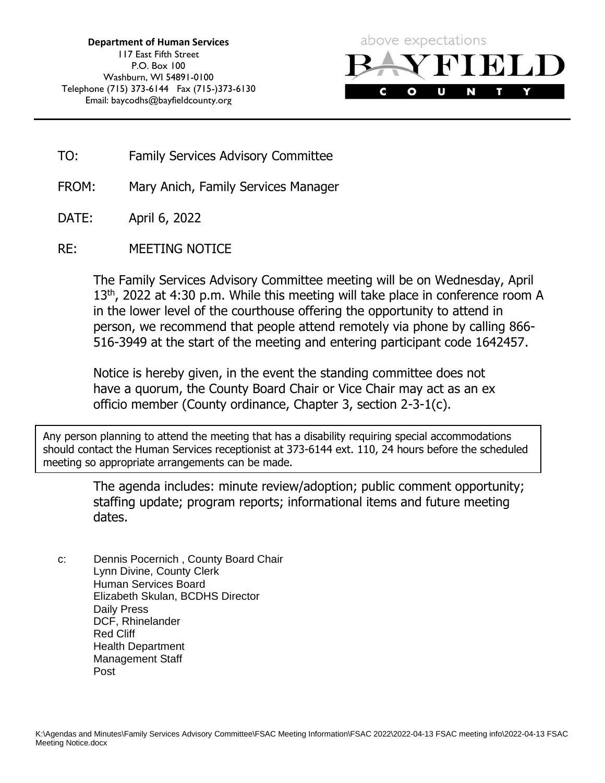

- TO: Family Services Advisory Committee
- FROM: Mary Anich, Family Services Manager
- DATE: April 6, 2022
- RE: MEETING NOTICE

The Family Services Advisory Committee meeting will be on Wednesday, April 13<sup>th</sup>, 2022 at 4:30 p.m. While this meeting will take place in conference room A in the lower level of the courthouse offering the opportunity to attend in person, we recommend that people attend remotely via phone by calling 866- 516-3949 at the start of the meeting and entering participant code 1642457.

Notice is hereby given, in the event the standing committee does not have a quorum, the County Board Chair or Vice Chair may act as an ex officio member (County ordinance, Chapter 3, section 2-3-1(c).

Any person planning to attend the meeting that has a disability requiring special accommodations should contact the Human Services receptionist at 373-6144 ext. 110, 24 hours before the scheduled meeting so appropriate arrangements can be made.

> The agenda includes: minute review/adoption; public comment opportunity; staffing update; program reports; informational items and future meeting dates.

c: Dennis Pocernich , County Board Chair Lynn Divine, County Clerk Human Services Board Elizabeth Skulan, BCDHS Director Daily Press DCF, Rhinelander Red Cliff Health Department Management Staff Post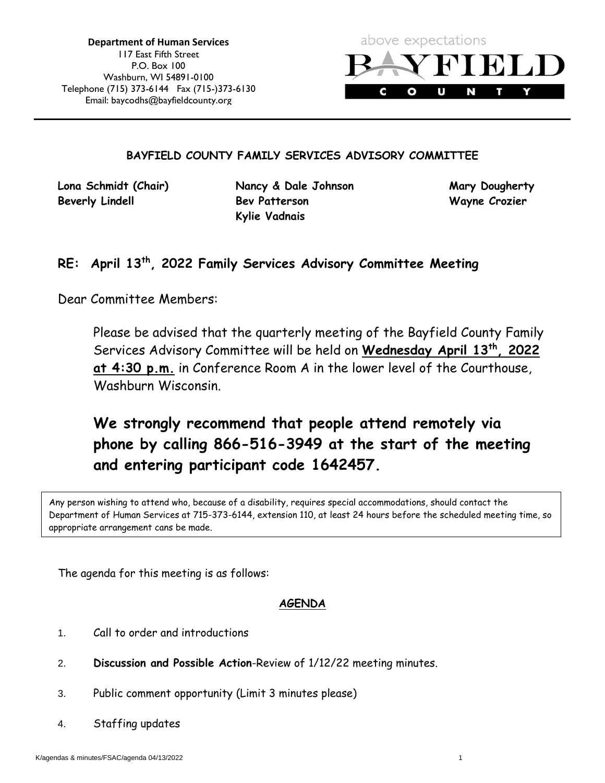

#### **BAYFIELD COUNTY FAMILY SERVICES ADVISORY COMMITTEE**

**Lona Schmidt (Chair) Nancy & Dale Johnson Mary Dougherty Beverly Lindell Bev Patterson Wayne Crozier Kylie Vadnais**

#### **RE: April 13th, 2022 Family Services Advisory Committee Meeting**

Dear Committee Members:

Please be advised that the quarterly meeting of the Bayfield County Family Services Advisory Committee will be held on **Wednesday April 13th, 2022 at 4:30 p.m.** in Conference Room A in the lower level of the Courthouse, Washburn Wisconsin.

### **We strongly recommend that people attend remotely via phone by calling 866-516-3949 at the start of the meeting and entering participant code 1642457.**

Any person wishing to attend who, because of a disability, requires special accommodations, should contact the Department of Human Services at 715-373-6144, extension 110, at least 24 hours before the scheduled meeting time, so appropriate arrangement cans be made.

The agenda for this meeting is as follows:

#### **AGENDA**

- 1. Call to order and introductions
- 2. **Discussion and Possible Action**-Review of 1/12/22 meeting minutes.
- 3. Public comment opportunity (Limit 3 minutes please)
- 4. Staffing updates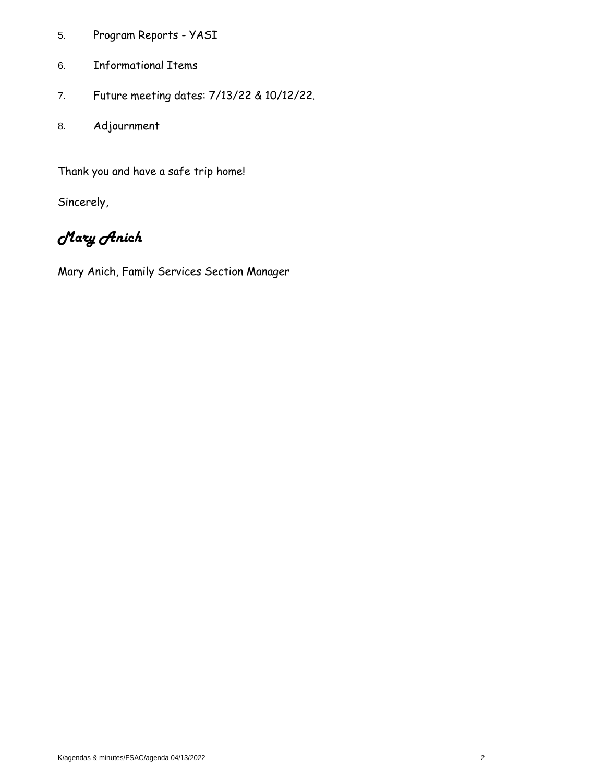- 5. Program Reports YASI
- 6. Informational Items
- 7. Future meeting dates: 7/13/22 & 10/12/22.
- 8. Adjournment

Thank you and have a safe trip home!

Sincerely,

### *Mary Anich*

Mary Anich, Family Services Section Manager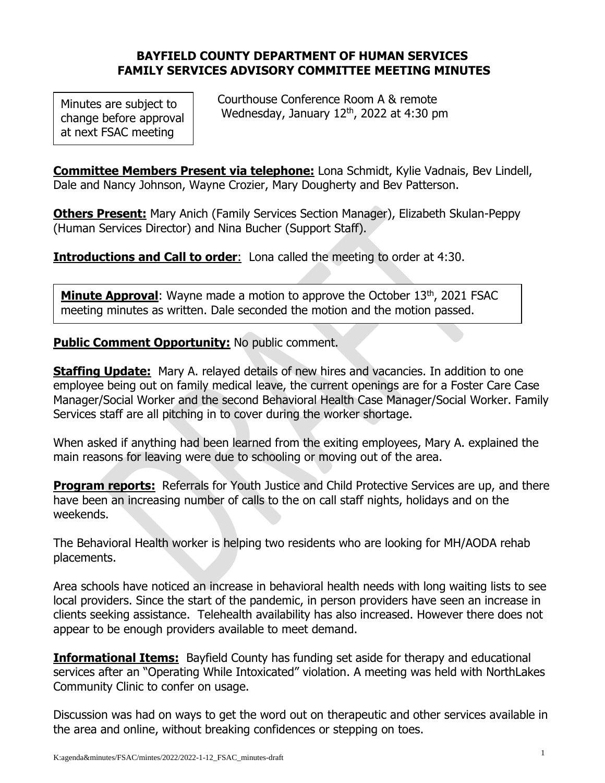#### **BAYFIELD COUNTY DEPARTMENT OF HUMAN SERVICES FAMILY SERVICES ADVISORY COMMITTEE MEETING MINUTES**

Minutes are subject to change before approval at next FSAC meeting

 Courthouse Conference Room A & remote Wednesday, January 12<sup>th</sup>, 2022 at 4:30 pm

**Committee Members Present via telephone:** Lona Schmidt, Kylie Vadnais, Bev Lindell, Dale and Nancy Johnson, Wayne Crozier, Mary Dougherty and Bev Patterson.

**Others Present:** Mary Anich (Family Services Section Manager), Elizabeth Skulan-Peppy (Human Services Director) and Nina Bucher (Support Staff).

**Introductions and Call to order:** Lona called the meeting to order at 4:30.

**Minute Approval**: Wayne made a motion to approve the October 13<sup>th</sup>, 2021 FSAC meeting minutes as written. Dale seconded the motion and the motion passed.

**Public Comment Opportunity:** No public comment.

**Staffing Update:** Mary A. relayed details of new hires and vacancies. In addition to one employee being out on family medical leave, the current openings are for a Foster Care Case Manager/Social Worker and the second Behavioral Health Case Manager/Social Worker. Family Services staff are all pitching in to cover during the worker shortage.

When asked if anything had been learned from the exiting employees, Mary A. explained the main reasons for leaving were due to schooling or moving out of the area.

**Program reports:** Referrals for Youth Justice and Child Protective Services are up, and there have been an increasing number of calls to the on call staff nights, holidays and on the weekends.

The Behavioral Health worker is helping two residents who are looking for MH/AODA rehab placements.

Area schools have noticed an increase in behavioral health needs with long waiting lists to see local providers. Since the start of the pandemic, in person providers have seen an increase in clients seeking assistance. Telehealth availability has also increased. However there does not appear to be enough providers available to meet demand.

**Informational Items:** Bayfield County has funding set aside for therapy and educational services after an "Operating While Intoxicated" violation. A meeting was held with NorthLakes Community Clinic to confer on usage.

Discussion was had on ways to get the word out on therapeutic and other services available in the area and online, without breaking confidences or stepping on toes.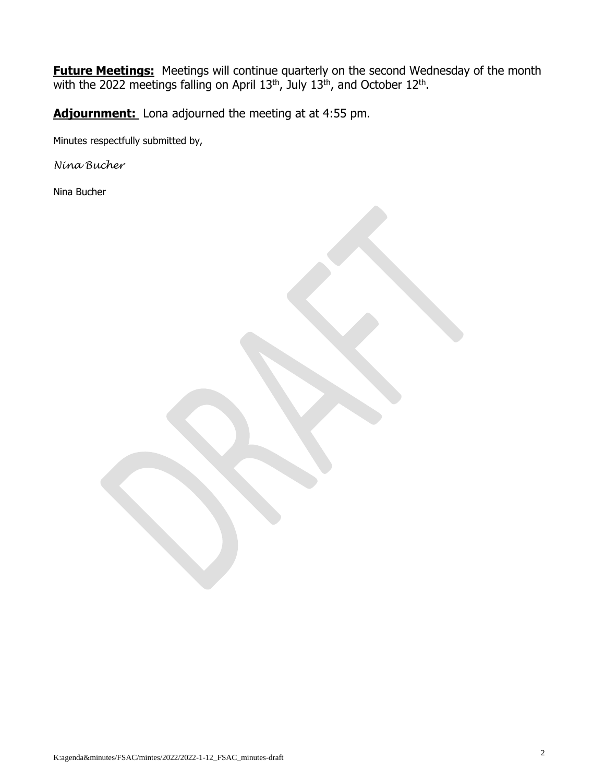**Future Meetings:** Meetings will continue quarterly on the second Wednesday of the month with the 2022 meetings falling on April  $13<sup>th</sup>$ , July  $13<sup>th</sup>$ , and October  $12<sup>th</sup>$ .

Adjournment: Lona adjourned the meeting at at 4:55 pm.

Minutes respectfully submitted by,

*Nina Bucher*

Nina Bucher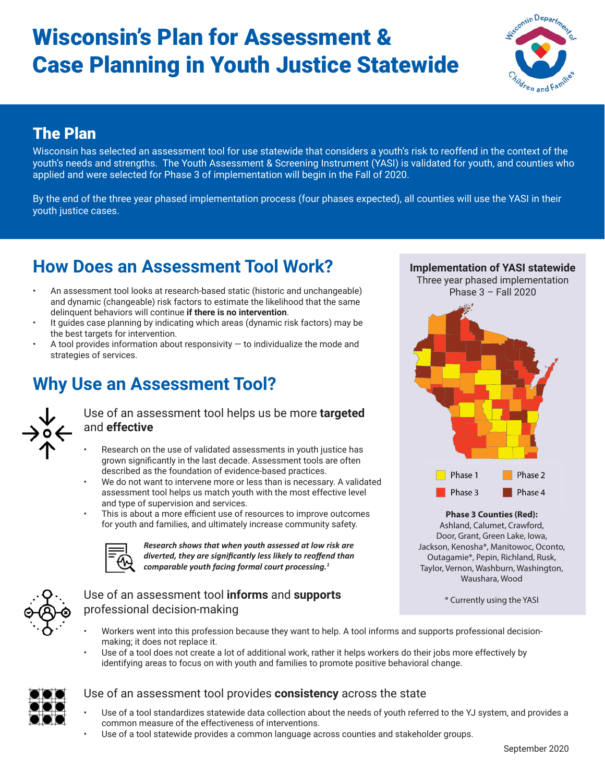# Wisconsin's Plan for Assessment & Case Planning in Youth Justice Statewide



### The Plan

**The Plan** Wisconsin has selected an assessment tool for use statewide that considers a youth's risk to reoffend in the context of the youth's needs and strengths. The Youth Assessment & Screening Instrument (YASI) is validated for youth, and counties who applied and were selected for Phase 3 of implementation will begin in the Fall of 2020.

By the end of the three year phased implementation process (four phases expected), all counties will use the YASI in their youth justice cases.

# **How Does an Assessment Tool Work?**

- An assessment tool looks at research-based static (historic and unchangeable) and dynamic (changeable) risk factors to estimate the likelihood that the same delinquent behaviors will continue **if there is no intervention**.
- It guides case planning by indicating which areas (dynamic risk factors) may be the best targets for intervention.
- A tool provides information about responsivity  $-$  to individualize the mode and strategies of services.

## **Why Use an Assessment Tool?**



Use of an assessment tool helps us be more **targeted**  and **effective**

- Research on the use of validated assessments in youth justice has grown significantly in the last decade. Assessment tools are often described as the foundation of evidence-based practices.
- We do not want to intervene more or less than is necessary. A validated assessment tool helps us match youth with the most effective level and type of supervision and services.
	- This is about a more efficient use of resources to improve outcomes for youth and families, and ultimately increase community safety.



*Research shows that when youth assessed at low risk are*  diverted, they are significantly less likely to reoffend than *comparable youth facing formal court processing.1*



#### Use of an assessment tool **informs** and **supports**  professional decision-making

**Implementation of YASI statewide**

Three year phased implementation



#### **Phase 3 Counties (Red):**

Ashland, Calumet, Crawford, Door, Grant, Green Lake, Iowa, Jackson, Kenosha\*, Manitowoc, Oconto, Outagamie\*, Pepin, Richland, Rusk, Taylor, Vernon, Washburn, Washington, Waushara, Wood

\* Currently using the YASI

- Workers went into this profession because they want to help. A tool informs and supports professional decisionmaking; it does not replace it.
- Use of a tool does not create a lot of additional work, rather it helps workers do their jobs more effectively by identifying areas to focus on with youth and families to promote positive behavioral change.



#### Use of an assessment tool provides **consistency** across the state

- Use of a tool standardizes statewide data collection about the needs of youth referred to the YJ system, and provides a common measure of the effectiveness of interventions.
- Use of a tool statewide provides a common language across counties and stakeholder groups.